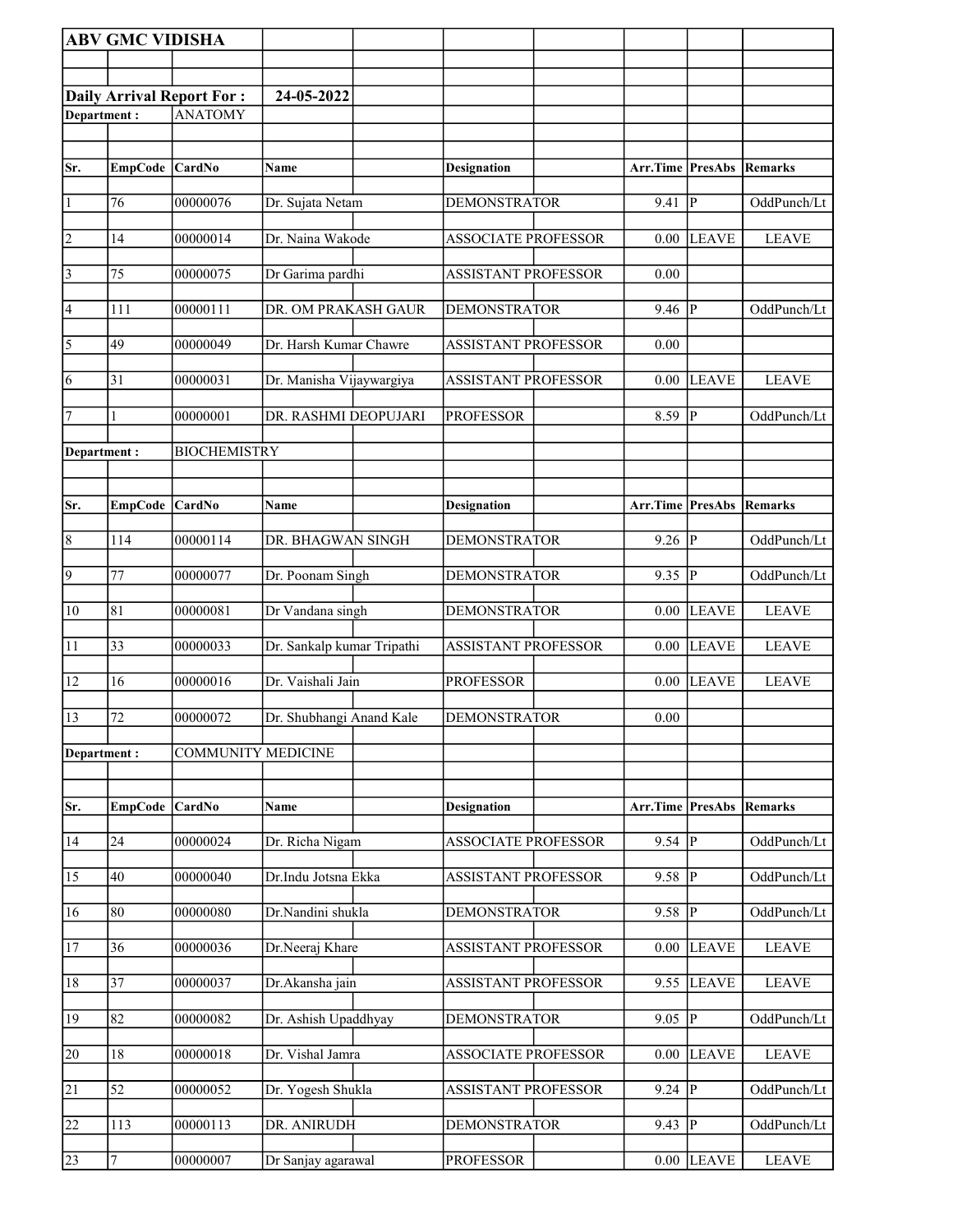|                 | <b>ABV GMC VIDISHA</b> |                                  |                            |                            |                                 |                |              |
|-----------------|------------------------|----------------------------------|----------------------------|----------------------------|---------------------------------|----------------|--------------|
|                 |                        |                                  |                            |                            |                                 |                |              |
|                 |                        | <b>Daily Arrival Report For:</b> | 24-05-2022                 |                            |                                 |                |              |
| Department:     |                        | <b>ANATOMY</b>                   |                            |                            |                                 |                |              |
|                 |                        |                                  |                            |                            |                                 |                |              |
| Sr.             | EmpCode CardNo         |                                  | <b>Name</b>                | <b>Designation</b>         | <b>Arr.Time PresAbs Remarks</b> |                |              |
|                 |                        |                                  |                            |                            |                                 |                |              |
| $\vert$ 1       | 76                     | 00000076                         | Dr. Sujata Netam           | <b>DEMONSTRATOR</b>        | 9.41                            | $\overline{P}$ | OddPunch/Lt  |
| $\overline{2}$  | 14                     | 00000014                         | Dr. Naina Wakode           | <b>ASSOCIATE PROFESSOR</b> | 0.00                            | <b>LEAVE</b>   | <b>LEAVE</b> |
|                 |                        |                                  |                            |                            |                                 |                |              |
| $\vert$ 3       | 75                     | 00000075                         | Dr Garima pardhi           | <b>ASSISTANT PROFESSOR</b> | 0.00                            |                |              |
| 4               | 111                    | 00000111                         | DR. OM PRAKASH GAUR        | <b>DEMONSTRATOR</b>        | 9.46                            | $\mathbf{P}$   | OddPunch/Lt  |
| $\overline{5}$  | 49                     | 00000049                         | Dr. Harsh Kumar Chawre     | <b>ASSISTANT PROFESSOR</b> | 0.00                            |                |              |
|                 |                        |                                  |                            |                            |                                 |                |              |
| 6               | 31                     | 00000031                         | Dr. Manisha Vijaywargiya   | <b>ASSISTANT PROFESSOR</b> | 0.00                            | <b>LEAVE</b>   | <b>LEAVE</b> |
| 7               | 1                      | 00000001                         | DR. RASHMI DEOPUJARI       | <b>PROFESSOR</b>           | 8.59                            | $\overline{P}$ | OddPunch/Lt  |
| Department:     |                        | <b>BIOCHEMISTRY</b>              |                            |                            |                                 |                |              |
|                 |                        |                                  |                            |                            |                                 |                |              |
|                 |                        |                                  |                            |                            |                                 |                |              |
| Sr.             | <b>EmpCode</b>         | <b>CardNo</b>                    | Name                       | <b>Designation</b>         | <b>Arr.Time PresAbs</b>         |                | Remarks      |
| $\vert 8$       | 114                    | 00000114                         | DR. BHAGWAN SINGH          | <b>DEMONSTRATOR</b>        | 9.26                            | P              | OddPunch/Lt  |
| $\overline{9}$  | 77                     | 00000077                         | Dr. Poonam Singh           | <b>DEMONSTRATOR</b>        | 9.35                            | P              | OddPunch/Lt  |
|                 |                        |                                  |                            |                            |                                 |                |              |
| $ 10\rangle$    | 81                     | 00000081                         | Dr Vandana singh           | <b>DEMONSTRATOR</b>        | 0.00                            | <b>LEAVE</b>   | <b>LEAVE</b> |
| 11              | 33                     | 00000033                         | Dr. Sankalp kumar Tripathi | <b>ASSISTANT PROFESSOR</b> | 0.00                            | <b>LEAVE</b>   | <b>LEAVE</b> |
| 12              | 16                     | 00000016                         | Dr. Vaishali Jain          | <b>PROFESSOR</b>           | 0.00                            | <b>LEAVE</b>   | <b>LEAVE</b> |
|                 |                        |                                  |                            |                            |                                 |                |              |
| 13              | 72                     | 00000072                         | Dr. Shubhangi Anand Kale   | <b>DEMONSTRATOR</b>        | 0.00                            |                |              |
| Department:     |                        | <b>COMMUNITY MEDICINE</b>        |                            |                            |                                 |                |              |
|                 |                        |                                  |                            |                            |                                 |                |              |
| Sr.             | <b>EmpCode</b>         | <b>CardNo</b>                    | Name                       | <b>Designation</b>         | Arr.Time PresAbs                |                | Remarks      |
|                 |                        |                                  |                            |                            |                                 |                |              |
| 14              | 24                     | 00000024                         | Dr. Richa Nigam            | <b>ASSOCIATE PROFESSOR</b> | 9.54                            | ${\bf P}$      | OddPunch/Lt  |
| $\overline{15}$ | 40                     | 00000040                         | Dr.Indu Jotsna Ekka        | <b>ASSISTANT PROFESSOR</b> | 9.58                            | $\overline{P}$ | OddPunch/Lt  |
| 16              | 80                     | 00000080                         | Dr.Nandini shukla          | <b>DEMONSTRATOR</b>        | 9.58                            | $\mathbf P$    | OddPunch/Lt  |
|                 |                        |                                  |                            |                            |                                 |                |              |
| 17              | 36                     | 00000036                         | Dr.Neeraj Khare            | <b>ASSISTANT PROFESSOR</b> | 0.00                            | <b>LEAVE</b>   | <b>LEAVE</b> |
| 18              | 37                     | 00000037                         | Dr.Akansha jain            | <b>ASSISTANT PROFESSOR</b> | 9.55                            | <b>LEAVE</b>   | <b>LEAVE</b> |
| 19              | 82                     | 00000082                         | Dr. Ashish Upaddhyay       | DEMONSTRATOR               | 9.05                            | ${\bf P}$      | OddPunch/Lt  |
|                 |                        |                                  |                            |                            |                                 |                |              |
| 20              | 18                     | 00000018                         | Dr. Vishal Jamra           | ASSOCIATE PROFESSOR        | 0.00                            | <b>LEAVE</b>   | <b>LEAVE</b> |
| 21              | 52                     | 00000052                         | Dr. Yogesh Shukla          | <b>ASSISTANT PROFESSOR</b> | 9.24                            | $\, {\bf P}$   | OddPunch/Lt  |
|                 |                        |                                  |                            |                            |                                 |                |              |
| $\overline{22}$ | 113                    | 00000113                         | DR. ANIRUDH                | <b>DEMONSTRATOR</b>        | 9.43                            | $\mathbf{P}$   | OddPunch/Lt  |
| 23              | $\boldsymbol{7}$       | 00000007                         | Dr Sanjay agarawal         | <b>PROFESSOR</b>           | 0.00                            | <b>LEAVE</b>   | <b>LEAVE</b> |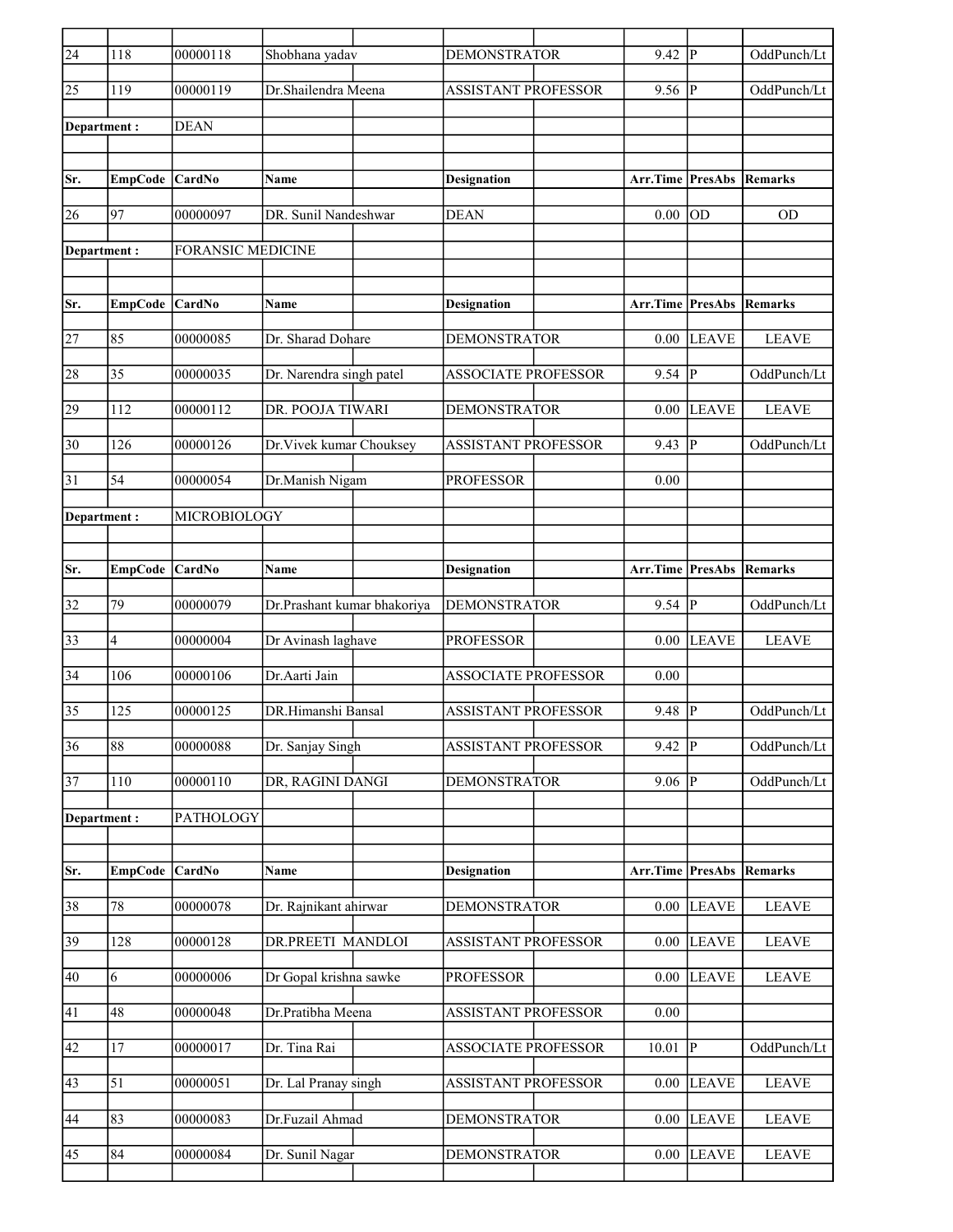| $\sqrt{24}$     | 118             | 00000118                 | Shobhana yadav              | <b>DEMONSTRATOR</b>        | $9.42$ P                        |                | OddPunch/Lt  |
|-----------------|-----------------|--------------------------|-----------------------------|----------------------------|---------------------------------|----------------|--------------|
| 25              | 119             | 00000119                 | Dr.Shailendra Meena         | <b>ASSISTANT PROFESSOR</b> | 9.56                            | P              | OddPunch/Lt  |
| Department:     |                 | <b>DEAN</b>              |                             |                            |                                 |                |              |
|                 |                 |                          |                             |                            |                                 |                |              |
| Sr.             | <b>EmpCode</b>  | <b>CardNo</b>            | <b>Name</b>                 | Designation                | <b>Arr.Time PresAbs Remarks</b> |                |              |
| 26              | 97              | 00000097                 | DR. Sunil Nandeshwar        | <b>DEAN</b>                | 0.00                            | <b>OD</b>      | OD           |
| Department:     |                 | <b>FORANSIC MEDICINE</b> |                             |                            |                                 |                |              |
|                 |                 |                          |                             |                            |                                 |                |              |
| Sr.             | <b>EmpCode</b>  | <b>CardNo</b>            | Name                        | <b>Designation</b>         | <b>Arr.Time PresAbs</b>         |                | Remarks      |
|                 |                 |                          |                             |                            |                                 |                |              |
| 27              | 85              | 00000085                 | Dr. Sharad Dohare           | <b>DEMONSTRATOR</b>        | 0.00                            | <b>LEAVE</b>   | <b>LEAVE</b> |
| 28              | 35              | 00000035                 | Dr. Narendra singh patel    | <b>ASSOCIATE PROFESSOR</b> | 9.54                            | P              | OddPunch/Lt  |
| 29              | 112             | 00000112                 | DR. POOJA TIWARI            | <b>DEMONSTRATOR</b>        | 0.00                            | <b>LEAVE</b>   | <b>LEAVE</b> |
| 30              | 126             | 00000126                 | Dr. Vivek kumar Chouksey    | <b>ASSISTANT PROFESSOR</b> | 9.43                            | lР             | OddPunch/Lt  |
| 31              | 54              | 00000054                 | Dr.Manish Nigam             | <b>PROFESSOR</b>           | 0.00                            |                |              |
| Department :    |                 | MICROBIOLOGY             |                             |                            |                                 |                |              |
|                 |                 |                          |                             |                            |                                 |                |              |
|                 |                 |                          |                             |                            |                                 |                |              |
| Sr.             | EmpCode CardNo  |                          | Name                        | <b>Designation</b>         | Arr.Time PresAbs                |                | Remarks      |
| 32              | 79              | 00000079                 | Dr.Prashant kumar bhakoriya | <b>DEMONSTRATOR</b>        | $9.54$ P                        |                | OddPunch/Lt  |
| 33              | 4               | 00000004                 | Dr Avinash laghave          | <b>PROFESSOR</b>           | $0.00\,$                        | <b>LEAVE</b>   | <b>LEAVE</b> |
| $\overline{34}$ | 106             | 00000106                 | Dr.Aarti Jain               | <b>ASSOCIATE PROFESSOR</b> | 0.00                            |                |              |
| 35              | 125             | 00000125                 | DR.Himanshi Bansal          | <b>ASSISTANT PROFESSOR</b> | 9.48                            | P              | OddPunch/Lt  |
| $\overline{36}$ | $\overline{88}$ | 00000088                 | Dr. Sanjay Singh            | ASSISTANT PROFESSOR        | $9.42$ P                        |                | OddPunch/Lt  |
| $\overline{37}$ | 110             | 00000110                 | DR, RAGINI DANGI            | <b>DEMONSTRATOR</b>        | $9.06$ P                        |                | OddPunch/Lt  |
| Department:     |                 | PATHOLOGY                |                             |                            |                                 |                |              |
|                 |                 |                          |                             |                            |                                 |                |              |
| Sr.             | <b>EmpCode</b>  | CardNo                   | Name                        | <b>Designation</b>         | Arr.Time PresAbs                |                | Remarks      |
| 38              | $\overline{78}$ | 00000078                 | Dr. Rajnikant ahirwar       | DEMONSTRATOR               | $0.00\,$                        | <b>LEAVE</b>   | <b>LEAVE</b> |
| 39              | 128             | 00000128                 | DR.PREETI MANDLOI           | <b>ASSISTANT PROFESSOR</b> | 0.00                            | <b>LEAVE</b>   | <b>LEAVE</b> |
| 40              | 6               | 00000006                 | Dr Gopal krishna sawke      | <b>PROFESSOR</b>           | 0.00                            | <b>LEAVE</b>   | <b>LEAVE</b> |
|                 |                 |                          |                             |                            |                                 |                |              |
| 41              | 48              | 00000048                 | Dr.Pratibha Meena           | ASSISTANT PROFESSOR        | 0.00                            |                |              |
| 42              | 17              | 00000017                 | Dr. Tina Rai                | <b>ASSOCIATE PROFESSOR</b> | 10.01                           | $\overline{P}$ | OddPunch/Lt  |
| 43              | 51              | 00000051                 | Dr. Lal Pranay singh        | ASSISTANT PROFESSOR        | 0.00                            | <b>LEAVE</b>   | <b>LEAVE</b> |
| 44              | 83              | 00000083                 | Dr.Fuzail Ahmad             | <b>DEMONSTRATOR</b>        | $0.00\,$                        | <b>LEAVE</b>   | <b>LEAVE</b> |
| 45              | 84              | 00000084                 | Dr. Sunil Nagar             | <b>DEMONSTRATOR</b>        | $0.00\,$                        | <b>LEAVE</b>   | <b>LEAVE</b> |
|                 |                 |                          |                             |                            |                                 |                |              |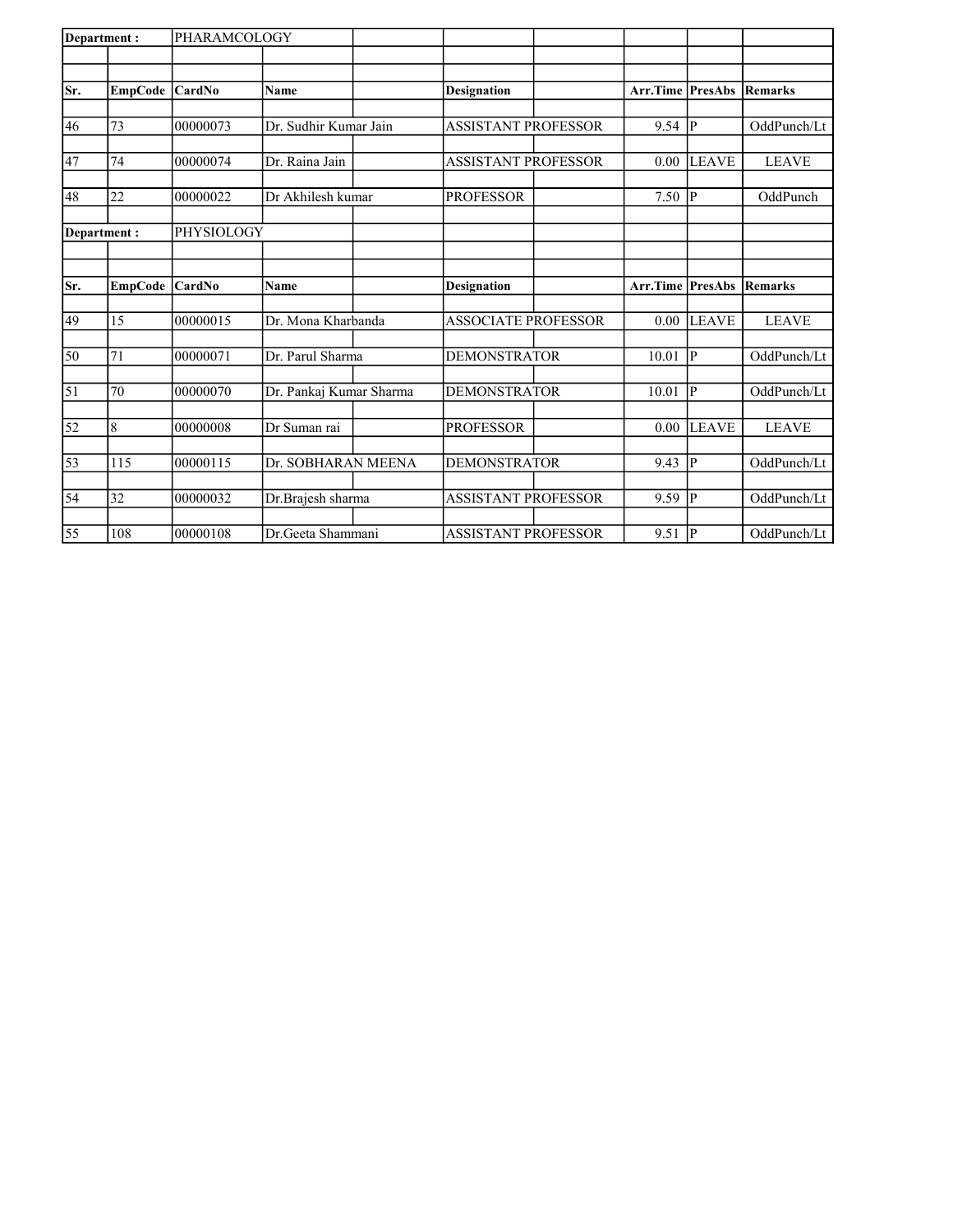| Department: |                | PHARAMCOLOGY  |                         |                            |                         |                |                |
|-------------|----------------|---------------|-------------------------|----------------------------|-------------------------|----------------|----------------|
|             |                |               |                         |                            |                         |                |                |
| Sr.         | <b>EmpCode</b> | <b>CardNo</b> | <b>Name</b>             | Designation                | <b>Arr.Time PresAbs</b> |                | <b>Remarks</b> |
|             |                |               |                         |                            |                         |                |                |
| 46          | 73             | 00000073      | Dr. Sudhir Kumar Jain   | <b>ASSISTANT PROFESSOR</b> | 9.54                    | P              | OddPunch/Lt    |
|             |                |               |                         |                            |                         |                |                |
| 47          | 74             | 00000074      | Dr. Raina Jain          | <b>ASSISTANT PROFESSOR</b> | 0.00                    | <b>LEAVE</b>   | <b>LEAVE</b>   |
| 48          | 22             | 00000022      | Dr Akhilesh kumar       | <b>PROFESSOR</b>           | 7.50                    | <b>P</b>       | OddPunch       |
|             | Department:    | PHYSIOLOGY    |                         |                            |                         |                |                |
|             |                |               |                         |                            |                         |                |                |
|             |                |               |                         |                            |                         |                |                |
| Sr.         | <b>EmpCode</b> | <b>CardNo</b> | Name                    | <b>Designation</b>         | <b>Arr.Time PresAbs</b> |                | <b>Remarks</b> |
| 49          | 15             | 00000015      | Dr. Mona Kharbanda      | <b>ASSOCIATE PROFESSOR</b> | 0.00                    | <b>LEAVE</b>   | <b>LEAVE</b>   |
|             |                |               |                         |                            |                         |                |                |
| 50          | 71             | 00000071      | Dr. Parul Sharma        | <b>DEMONSTRATOR</b>        | 10.01                   | <b>P</b>       | OddPunch/Lt    |
|             |                |               |                         |                            |                         |                |                |
| 51          | 70             | 00000070      | Dr. Pankaj Kumar Sharma | <b>DEMONSTRATOR</b>        | 10.01                   | P              | OddPunch/Lt    |
| 52          | 8              | 00000008      | Dr Suman rai            | <b>PROFESSOR</b>           | 0.00                    | <b>LEAVE</b>   | <b>LEAVE</b>   |
| 53          | 115            | 00000115      | Dr. SOBHARAN MEENA      | <b>DEMONSTRATOR</b>        | 9.43                    | $\overline{P}$ | OddPunch/Lt    |
|             |                |               |                         |                            |                         |                |                |
| 54          | 32             | 00000032      | Dr.Brajesh sharma       | <b>ASSISTANT PROFESSOR</b> | 9.59                    | $\mathbf{P}$   | OddPunch/Lt    |
|             |                |               |                         |                            |                         |                |                |
| 55          | 108            | 00000108      | Dr.Geeta Shammani       | <b>ASSISTANT PROFESSOR</b> | 9.51                    | P              | OddPunch/Lt    |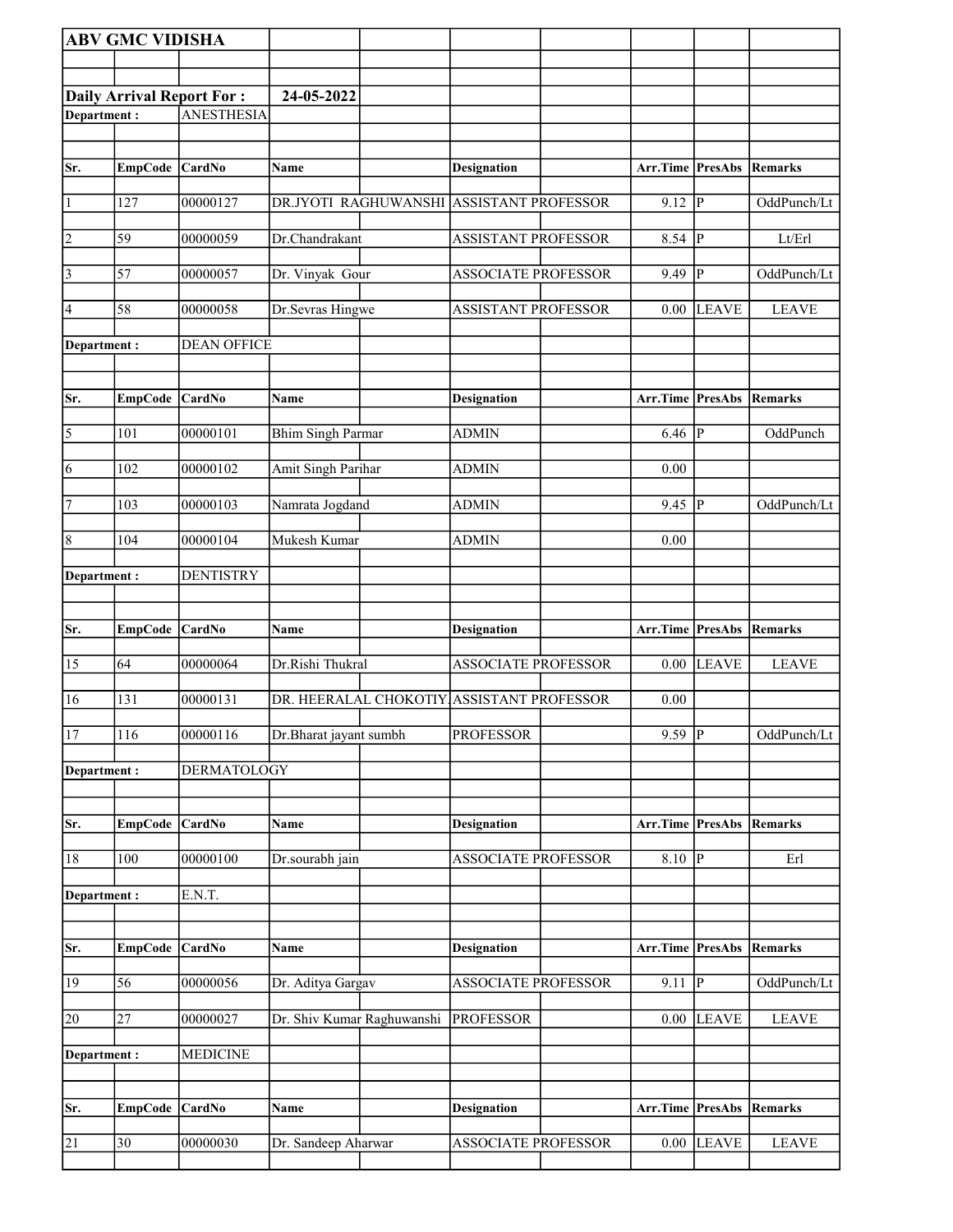|                | <b>ABV GMC VIDISHA</b> |                                  |                                           |                            |                                 |                |                |
|----------------|------------------------|----------------------------------|-------------------------------------------|----------------------------|---------------------------------|----------------|----------------|
|                |                        |                                  |                                           |                            |                                 |                |                |
|                |                        | <b>Daily Arrival Report For:</b> | 24-05-2022                                |                            |                                 |                |                |
| Department:    |                        | <b>ANESTHESIA</b>                |                                           |                            |                                 |                |                |
|                |                        |                                  |                                           |                            |                                 |                |                |
|                |                        |                                  |                                           |                            |                                 |                |                |
| Sr.            | EmpCode CardNo         |                                  | Name                                      | <b>Designation</b>         | Arr.Time PresAbs                |                | Remarks        |
| $\vert$ 1      | 127                    | 00000127                         | DR.JYOTI RAGHUWANSHI ASSISTANT PROFESSOR  |                            | 9.12                            | $ {\bf p} $    | OddPunch/Lt    |
| $\overline{2}$ | 59                     | 00000059                         | Dr.Chandrakant                            | <b>ASSISTANT PROFESSOR</b> | 8.54 $\overline{P}$             |                | Lt/Erl         |
| $\sqrt{3}$     | 57                     | 00000057                         | Dr. Vinyak Gour                           | <b>ASSOCIATE PROFESSOR</b> | 9.49                            | P              | OddPunch/Lt    |
| 4              | 58                     | 00000058                         | Dr.Sevras Hingwe                          | ASSISTANT PROFESSOR        | 0.00                            | <b>LEAVE</b>   | <b>LEAVE</b>   |
| Department:    |                        | <b>DEAN OFFICE</b>               |                                           |                            |                                 |                |                |
|                |                        |                                  |                                           |                            |                                 |                |                |
| Sr.            | EmpCode CardNo         |                                  | Name                                      | <b>Designation</b>         | <b>Arr.Time PresAbs Remarks</b> |                |                |
| $\overline{5}$ | 101                    | 00000101                         | <b>Bhim Singh Parmar</b>                  | <b>ADMIN</b>               | 6.46                            | <sup> </sup> P | OddPunch       |
| $\overline{6}$ | 102                    | 00000102                         | Amit Singh Parihar                        | <b>ADMIN</b>               | 0.00                            |                |                |
| 7              | 103                    | 00000103                         | Namrata Jogdand                           | <b>ADMIN</b>               | 9.45                            | <sup> </sup> P | OddPunch/Lt    |
| $\overline{8}$ | 104                    | 00000104                         | Mukesh Kumar                              | <b>ADMIN</b>               | 0.00                            |                |                |
| Department:    |                        | <b>DENTISTRY</b>                 |                                           |                            |                                 |                |                |
|                |                        |                                  |                                           |                            |                                 |                |                |
|                |                        |                                  |                                           |                            |                                 |                |                |
|                |                        |                                  |                                           |                            |                                 |                |                |
| Sr.            | <b>EmpCode</b>         | CardNo                           | Name                                      | <b>Designation</b>         | Arr.Time PresAbs                |                | Remarks        |
| 15             | 64                     | 00000064                         | Dr.Rishi Thukral                          | ASSOCIATE PROFESSOR        | 0.00                            | <b>LEAVE</b>   | <b>LEAVE</b>   |
| 16             | 131                    | 00000131                         | DR. HEERALAL CHOKOTIY ASSISTANT PROFESSOR |                            | 0.00                            |                |                |
| 17             | 116                    | 00000116                         | Dr.Bharat jayant sumbh                    | <b>PROFESSOR</b>           | $9.59$ P                        |                | OddPunch/Lt    |
| Department :   |                        | <b>DERMATOLOGY</b>               |                                           |                            |                                 |                |                |
| Sr.            | <b>EmpCode</b>         | CardNo                           | Name                                      | <b>Designation</b>         | Arr.Time                        | <b>PresAbs</b> | <b>Remarks</b> |
| 18             | $\overline{100}$       | 00000100                         | Dr.sourabh jain                           | ASSOCIATE PROFESSOR        | 8.10                            | $ {\bf P} $    | Erl            |
|                |                        |                                  |                                           |                            |                                 |                |                |
| Department:    |                        | E.N.T.                           |                                           |                            |                                 |                |                |
|                |                        |                                  |                                           |                            |                                 |                |                |
| Sr.            | EmpCode                | <b>CardNo</b>                    | Name                                      | <b>Designation</b>         | Arr.Time PresAbs                |                | Remarks        |
| 19             | $\overline{56}$        | 00000056                         | Dr. Aditya Gargav                         | <b>ASSOCIATE PROFESSOR</b> | 9.11                            | P              | OddPunch/Lt    |
| 20             | $\overline{27}$        | 00000027                         | Dr. Shiv Kumar Raghuwanshi                | <b>PROFESSOR</b>           | 0.00                            | <b>LEAVE</b>   | <b>LEAVE</b>   |
| Department:    |                        | <b>MEDICINE</b>                  |                                           |                            |                                 |                |                |
|                |                        |                                  |                                           |                            |                                 |                |                |
| Sr.            | <b>EmpCode</b>         | <b>CardNo</b>                    | Name                                      | <b>Designation</b>         | Arr.Time PresAbs                |                | Remarks        |
| 21             | 30                     | 00000030                         | Dr. Sandeep Aharwar                       | <b>ASSOCIATE PROFESSOR</b> | 0.00                            | <b>LEAVE</b>   | <b>LEAVE</b>   |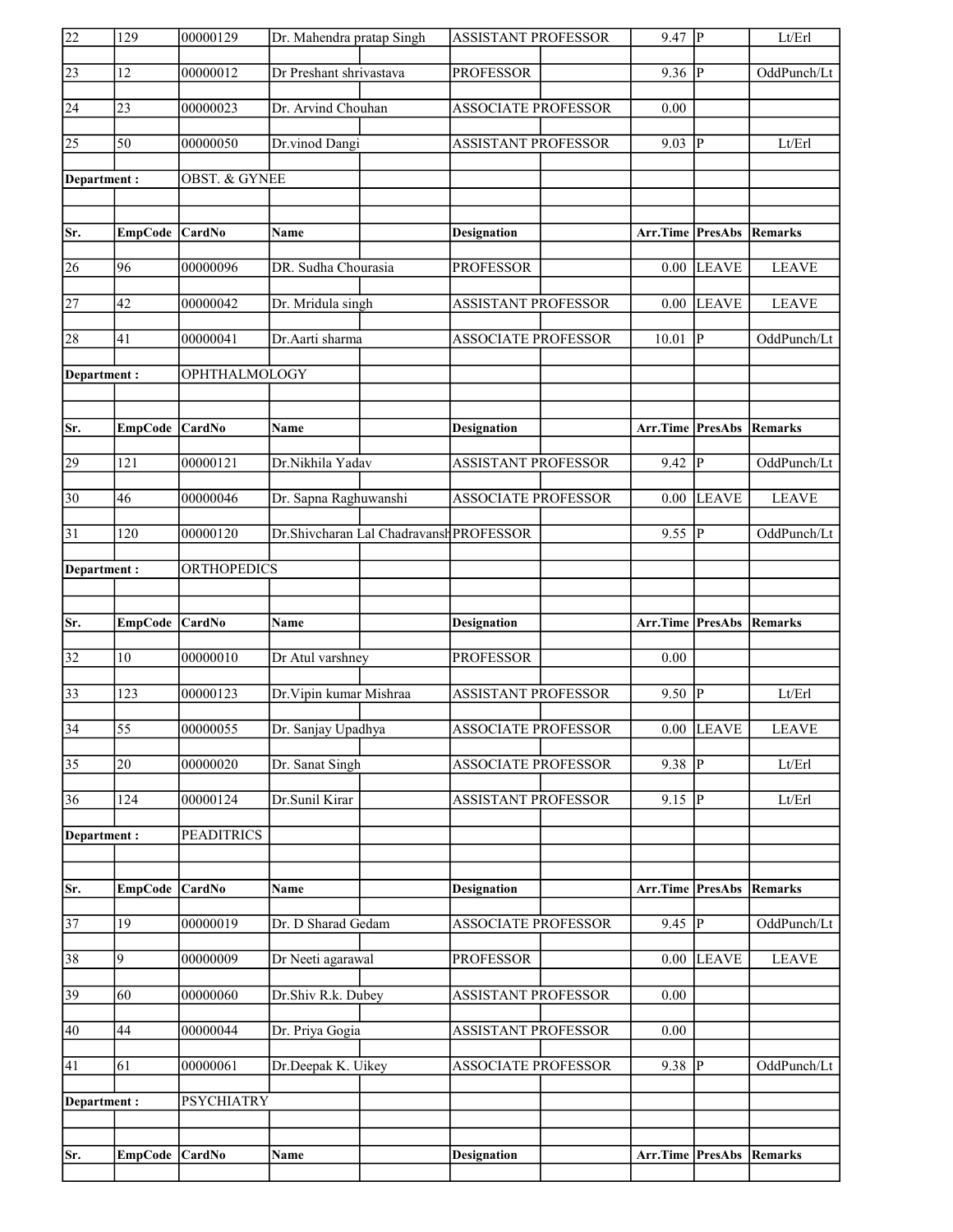| $\overline{22}$ | 129             | 00000129                 | Dr. Mahendra pratap Singh |                                         | <b>ASSISTANT PROFESSOR</b> | $9.47$ P                        |                         | Lt/Erl         |
|-----------------|-----------------|--------------------------|---------------------------|-----------------------------------------|----------------------------|---------------------------------|-------------------------|----------------|
| 23              | 12              | 00000012                 | Dr Preshant shrivastava   |                                         | <b>PROFESSOR</b>           | 9.36                            | IР                      | OddPunch/Lt    |
| 24              | 23              | 00000023                 | Dr. Arvind Chouhan        |                                         | <b>ASSOCIATE PROFESSOR</b> | 0.00                            |                         |                |
| 25              | $\overline{50}$ | 00000050                 | Dr.vinod Dangi            |                                         | <b>ASSISTANT PROFESSOR</b> | 9.03                            | P                       | Lt/Erl         |
| Department:     |                 | <b>OBST. &amp; GYNEE</b> |                           |                                         |                            |                                 |                         |                |
|                 |                 |                          |                           |                                         |                            |                                 |                         |                |
| Sr.             | EmpCode CardNo  |                          | Name                      |                                         | <b>Designation</b>         | Arr.Time PresAbs                |                         | Remarks        |
| 26              | 96              | 00000096                 | DR. Sudha Chourasia       |                                         | <b>PROFESSOR</b>           | 0.00                            | <b>LEAVE</b>            | <b>LEAVE</b>   |
| 27              | 42              | 00000042                 | Dr. Mridula singh         |                                         | <b>ASSISTANT PROFESSOR</b> | 0.00                            | <b>LEAVE</b>            | <b>LEAVE</b>   |
| 28              | 41              | 00000041                 | Dr.Aarti sharma           |                                         | <b>ASSOCIATE PROFESSOR</b> | 10.01                           | P                       | OddPunch/Lt    |
| Department:     |                 | OPHTHALMOLOGY            |                           |                                         |                            |                                 |                         |                |
|                 |                 |                          |                           |                                         |                            |                                 |                         |                |
| Sr.             | EmpCode CardNo  |                          | Name                      |                                         | <b>Designation</b>         | <b>Arr.Time PresAbs Remarks</b> |                         |                |
| 29              | 121             | 00000121                 | Dr.Nikhila Yadav          |                                         | <b>ASSISTANT PROFESSOR</b> | 9.42                            | $\overline{\mathbb{P}}$ | OddPunch/Lt    |
| $ 30\rangle$    | 46              | 00000046                 | Dr. Sapna Raghuwanshi     |                                         | <b>ASSOCIATE PROFESSOR</b> | 0.00                            | <b>LEAVE</b>            | <b>LEAVE</b>   |
| 31              | 120             | 00000120                 |                           | Dr.Shivcharan Lal Chadravansh PROFESSOR |                            | 9.55                            | P                       | OddPunch/Lt    |
| Department:     |                 | <b>ORTHOPEDICS</b>       |                           |                                         |                            |                                 |                         |                |
|                 |                 |                          |                           |                                         |                            |                                 |                         |                |
|                 |                 |                          |                           |                                         |                            |                                 |                         |                |
| Sr.             | <b>EmpCode</b>  | $\vert$ CardNo           | Name                      |                                         | <b>Designation</b>         | Arr.Time                        | PresAbs                 | Remarks        |
| 32              | 10              | 00000010                 | Dr Atul varshney          |                                         | <b>PROFESSOR</b>           | 0.00                            |                         |                |
| 33              | 123             | 00000123                 | Dr. Vipin kumar Mishraa   |                                         | <b>ASSISTANT PROFESSOR</b> | $9.50 \vert P$                  |                         | Lt/Erl         |
| $\overline{34}$ | $\overline{55}$ | 00000055                 | Dr. Sanjay Upadhya        |                                         | <b>ASSOCIATE PROFESSOR</b> | 0.00                            | LEAVE                   | <b>LEAVE</b>   |
| $\overline{35}$ | $\overline{20}$ | 00000020                 | Dr. Sanat Singh           |                                         | <b>ASSOCIATE PROFESSOR</b> | 9.38                            | $\overline{P}$          | Lt/Erl         |
| 36              | 124             | 00000124                 | Dr.Sunil Kirar            |                                         | <b>ASSISTANT PROFESSOR</b> | 9.15                            | P                       | Lt/Erl         |
| Department:     |                 | <b>PEADITRICS</b>        |                           |                                         |                            |                                 |                         |                |
|                 |                 |                          |                           |                                         |                            |                                 |                         |                |
| Sr.             | <b>EmpCode</b>  | CardNo                   | Name                      |                                         | <b>Designation</b>         | Arr.Time                        | <b>PresAbs</b>          | <b>Remarks</b> |
| 37              | 19              | 00000019                 | Dr. D Sharad Gedam        |                                         | <b>ASSOCIATE PROFESSOR</b> | $9.45$ P                        |                         | OddPunch/Lt    |
| 38              | 9               | 00000009                 | Dr Neeti agarawal         |                                         | <b>PROFESSOR</b>           | 0.00                            | <b>LEAVE</b>            | <b>LEAVE</b>   |
| 39              | 60              | 00000060                 | Dr.Shiv R.k. Dubey        |                                         | ASSISTANT PROFESSOR        | 0.00                            |                         |                |
| 40              | 44              | 00000044                 | Dr. Priya Gogia           |                                         | ASSISTANT PROFESSOR        | 0.00                            |                         |                |
| 41              | 61              | 00000061                 | Dr.Deepak K. Uikey        |                                         | <b>ASSOCIATE PROFESSOR</b> | $9.38$ $\overline{P}$           |                         | OddPunch/Lt    |
| Department:     |                 | <b>PSYCHIATRY</b>        |                           |                                         |                            |                                 |                         |                |
|                 |                 |                          |                           |                                         |                            |                                 |                         |                |